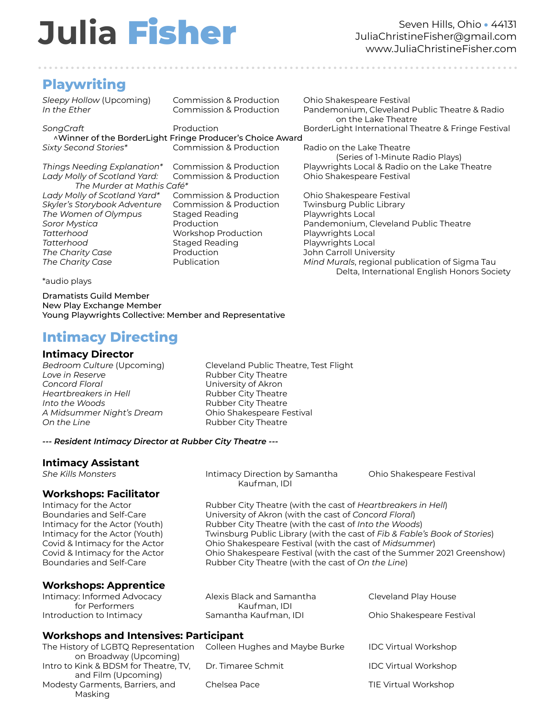# **Julia** Fisher

Seven Hills, Ohio • 44131 JuliaChristineFisher@gmail.com www.JuliaChristineFisher.com

## **Playwriting**

. . . . . . . . . . . . . . . . . . . . . . . . . . . . . . . . . . . . . . . . . . . . . . . . . . . . . . . . . . . . . . . . . . . . . . . . . . . . . . . . . . . . . . . .

**SongCraft** Production BorderLight International Theatre & Fringe Festival Assembly Production ^Winner of the BorderLight Fringe Producer's Choice Award *Sixty Second Stories\** Commission & Production Radio on the Lake Theatre

*Lady Molly of Scotland Yard:* Commission & Production Ohio Shakespeare Festival *The Murder at Mathis Café\* Lady Molly of Scotland Yard\** Commission & Production Ohio Shakespeare Festival *Skyler's Storybook Adventure* Commission & Production Twinsburg Public Library

*The Women of Olympus* Staged Reading **Playwrights Local** *Tatterhood* Workshop Production Playwrights Local **Tatterhood Staged Reading Playwrights Local** *The Charity Case* Production John Carroll University

*Sleepy Hollow* (Upcoming) Commission & Production Ohio Shakespeare Festival *In the Ether* Commission & Production Pandemonium, Cleveland Public Theatre & Radio on the Lake Theatre

(Series of 1-Minute Radio Plays) *Things Needing Explanation\** Commission & Production Playwrights Local & Radio on the Lake Theatre

**Soror Mystica Production** Production **Pandemonium, Cleveland Public Theatre** *The Charity Case* Publication *Mind Murals*, regional publication of Sigma Tau Delta, International English Honors Society

\*audio plays

Dramatists Guild Member New Play Exchange Member Young Playwrights Collective: Member and Representative

## **Intimacy Directing**

# **Intimacy Director**

**Love** in Reserve **Rubber City Theatre** *Concord Floral* University of Akron *Heartbreakers in Hell* Rubber City Theatre *Into the Woods* **Rubber City Theatre** *A Midsummer Night's Dream* Ohio Shakespeare Festival **On the Line City Theatre Property** Rubber City Theatre

**Cleveland Public Theatre, Test Flight** 

Kaufman, IDI

#### *--- Resident Intimacy Director at Rubber City Theatre ---*

#### **Intimacy Assistant**

*She Kills Monsters* Intimacy Direction by Samantha Ohio Shakespeare Festival

**Workshops: Facilitator**

Rubber City Theatre (with the cast of *Heartbreakers in Hell*) Boundaries and Self-Care University of Akron (with the cast of *Concord Floral*) Intimacy for the Actor (Youth) Rubber City Theatre (with the cast of *Into the Woods*) Intimacy for the Actor (Youth) Twinsburg Public Library (with the cast of *Fib & Fable's Book of Stories*) Covid & Intimacy for the Actor Ohio Shakespeare Festival (with the cast of *Midsummer*) Covid & Intimacy for the Actor Ohio Shakespeare Festival (with the cast of the Summer 2021 Greenshow) Boundaries and Self-Care Rubber City Theatre (with the cast of *On the Line*)

#### **Workshops: Apprentice**

Intimacy: Informed Advocacy Alexis Black and Samantha Cleveland Play House for Performers Kaufman, IDI Introduction to Intimacy Samantha Kaufman, IDI Ohio Shakespeare Festival

#### **Workshops and Intensives: Participant**

The History of LGBTQ Representation Colleen Hughes and Maybe Burke IDC Virtual Workshop on Broadway (Upcoming) Intro to Kink & BDSM for Theatre, TV, Dr. Timaree Schmit IDC Virtual Workshop and Film (Upcoming) Modesty Garments, Barriers, and Chelsea Pace The Chelsea Pace TIE Virtual Workshop Masking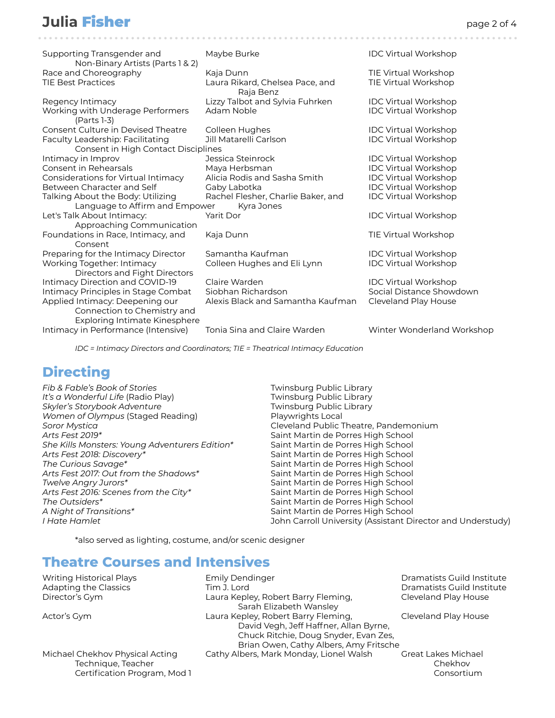## **Julia Fisher** page 2 of 4

| Supporting Transgender and<br>Non-Binary Artists (Parts 1 & 2)          | Maybe Burke                                      | <b>IDC Virtual Workshop</b> |
|-------------------------------------------------------------------------|--------------------------------------------------|-----------------------------|
| Race and Choreography                                                   | Kaja Dunn                                        | TIE Virtual Workshop        |
| <b>TIE Best Practices</b>                                               | Laura Rikard, Chelsea Pace, and<br>Raja Benz     | TIE Virtual Workshop        |
| Regency Intimacy                                                        | Lizzy Talbot and Sylvia Fuhrken                  | <b>IDC Virtual Workshop</b> |
| Working with Underage Performers<br>(Parts 1-3)                         | Adam Noble                                       | <b>IDC Virtual Workshop</b> |
| <b>Consent Culture in Devised Theatre</b>                               | Colleen Hughes                                   | <b>IDC Virtual Workshop</b> |
| Faculty Leadership: Facilitating<br>Consent in High Contact Disciplines | Jill Matarelli Carlson                           | <b>IDC Virtual Workshop</b> |
| Intimacy in Improv                                                      | Jessica Steinrock                                | <b>IDC Virtual Workshop</b> |
| Consent in Rehearsals                                                   | Maya Herbsman                                    | <b>IDC Virtual Workshop</b> |
| Considerations for Virtual Intimacy                                     | Alicia Rodis and Sasha Smith                     | <b>IDC Virtual Workshop</b> |
| Between Character and Self                                              | Gaby Labotka                                     | <b>IDC Virtual Workshop</b> |
| Talking About the Body: Utilizing<br>Language to Affirm and Empower     | Rachel Flesher, Charlie Baker, and<br>Kyra Jones | <b>IDC Virtual Workshop</b> |
| Let's Talk About Intimacy:<br>Approaching Communication                 | Yarit Dor                                        | <b>IDC Virtual Workshop</b> |
| Foundations in Race, Intimacy, and<br>Consent                           | Kaja Dunn                                        | TIE Virtual Workshop        |
| Preparing for the Intimacy Director                                     | Samantha Kaufman                                 | <b>IDC Virtual Workshop</b> |
| Working Together: Intimacy<br>Directors and Fight Directors             | Colleen Hughes and Eli Lynn                      | <b>IDC Virtual Workshop</b> |
| Intimacy Direction and COVID-19                                         | Claire Warden                                    | <b>IDC Virtual Workshop</b> |
| Intimacy Principles in Stage Combat                                     | Siobhan Richardson                               | Social Distance Showdown    |
| Applied Intimacy: Deepening our                                         | Alexis Black and Samantha Kaufman                | Cleveland Play House        |
| Connection to Chemistry and<br><b>Exploring Intimate Kinesphere</b>     |                                                  |                             |
| Intimacy in Performance (Intensive)                                     | Tonia Sina and Claire Warden                     | Winter Wonderland Workshop  |

*IDC = Intimacy Directors and Coordinators; TIE = Theatrical Intimacy Education*

## **Directing**

| Fib & Fable's Book of Stories                  | Twinsburg Public Library                                    |
|------------------------------------------------|-------------------------------------------------------------|
| It's a Wonderful Life (Radio Play)             | Twinsburg Public Library                                    |
| Skyler's Storybook Adventure                   | Twinsburg Public Library                                    |
| Women of Olympus (Staged Reading)              | Playwrights Local                                           |
| Soror Mystica                                  | Cleveland Public Theatre, Pandemonium                       |
| Arts Fest 2019*                                | Saint Martin de Porres High School                          |
| She Kills Monsters: Young Adventurers Edition* | Saint Martin de Porres High School                          |
| Arts Fest 2018: Discovery*                     | Saint Martin de Porres High School                          |
| The Curious Savage*                            | Saint Martin de Porres High School                          |
| Arts Fest 2017: Out from the Shadows*          | Saint Martin de Porres High School                          |
| Twelve Angry Jurors*                           | Saint Martin de Porres High School                          |
| Arts Fest 2016: Scenes from the City*          | Saint Martin de Porres High School                          |
| The Outsiders*                                 | Saint Martin de Porres High School                          |
| A Night of Transitions*                        | Saint Martin de Porres High School                          |
| I Hate Hamlet                                  | John Carroll University (Assistant Director and Understudy) |
|                                                |                                                             |

\*also served as lighting, costume, and/or scenic designer

## **Theatre Courses and Intensives**

Adapting the Classics **Adaption Classics** Tim J. Lord Dramatists Guild Institute Director's Gym Laura Kepley, Robert Barry Fleming, Cleveland Play House Sarah Elizabeth Wansley Actor's Gym **Laura Kepley, Robert Barry Fleming, Cleveland Play House** Cleveland Play House David Vegh, Jeff Haffner, Allan Byrne, Chuck Ritchie, Doug Snyder, Evan Zes, Brian Owen, Cathy Albers, Amy Fritsche Michael Chekhov Physical Acting Cathy Albers, Mark Monday, Lionel Walsh Great Lakes Michael

Writing Historical Plays **Emily Dendinger Emily Dendinger** Dramatists Guild Institute

Technique, Teacher Chekhov Chekhov Chekhov Chekhov Chekhov Chekhov Chekhov Chekhov Chekhov Chekhov Chekhov Chekhov Certification Program, Mod 1 Consortium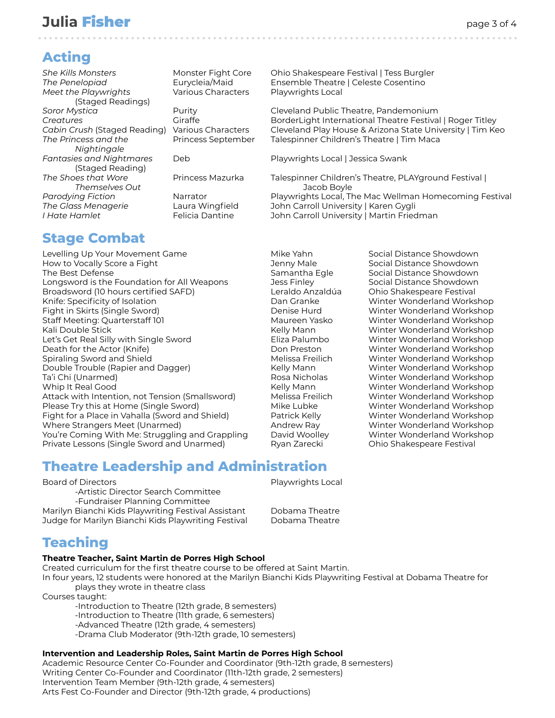## **Julia Fisher** page 3 of 4

## **Acting**

*Meet the Playwrights* Various Characters Playwrights Local (Staged Readings) *Nightingale* (Staged Reading) *Themselves Out* Jacob Boyle

. . . . . . . . . . . . . . . . . . . . . . . . . . . . . . . . . . . . . . . . . . . . . . . . . . . . . . . . . . . . . . . . . . . . . . . . . . . . . . . . . . . . . . . .

*She Kills Monsters* Monster Fight Core Ohio Shakespeare Festival | Tess Burgler *The Penelopiad* Eurycleia/Maid Ensemble Theatre | Celeste Cosentino

**Soror Mystica Purity** Purity **Purity** Cleveland Public Theatre, Pandemonium **Creatures Giraffe** Giraffe **BorderLight International Theatre Festival | Roger Titley** *Cabin Crush* (Staged Reading) Various Characters Cleveland Play House & Arizona State University | Tim Keo *The Princess and the* **Princess September** Talespinner Children's Theatre | Tim Maca

*Fantasies and Nightmares* Deb Playwrights Local | Jessica Swank

*The Shoes that Wore* Princess Mazurka Talespinner Children's Theatre, PLAYground Festival | Parodying Fiction **Narrator** Narrator Playwrights Local, The Mac Wellman Homecoming Festival *The Glass Menagerie* Laura Wingfield John Carroll University | Karen Gygli *I Hate Hamlet* Felicia Dantine John Carroll University | Martin Friedman

## **Stage Combat**

Levelling Up Your Movement Game Mike Yahn Social Distance Showdown How to Vocally Score a Fight The Social Distance Showdown Jenny Male Social Distance Showdown The Best Defense Samantha Egle Social Distance Showdown Longsword is the Foundation for All Weapons Jess Finley Social Distance Showdown Broadsword (10 hours certified SAFD) Leraldo Anzaldúa Ohio Shakespeare Festival Knife: Specificity of Isolation **Dan Granke** Winter Wonderland Workshop Fight in Skirts (Single Sword) Denise Hurd Winter Wonderland Workshop Staff Meeting: Quarterstaff 101 Maureen Yasko Winter Wonderland Workshop Kali Double Stick Kelly Mann Kelly Mann Winter Wonderland Workshop Let's Get Real Silly with Single Sword **Eliza Palumbo** Winter Wonderland Workshop Death for the Actor (Knife) Don Preston Winter Wonderland Workshop Spiraling Sword and Shield **Melissa Freilich Melissa Freilich** Winter Wonderland Workshop Double Trouble (Rapier and Dagger) The Kelly Mann Winter Wonderland Workshop Ta'i Chi (Unarmed) Rosa Nicholas Winter Wonderland Workshop Whip It Real Good **Kelly Mann** Winter Wonderland Workshop **Kelly Mann** Winter Wonderland Workshop Attack with Intention, not Tension (Smallsword) Melissa Freilich Winter Wonderland Workshop Please Try this at Home (Single Sword) Mike Lubke Movement Winter Wonderland Workshop Fight for a Place in Vahalla (Sword and Shield) Patrick Kelly Winter Wonderland Workshop Where Strangers Meet (Unarmed) **Andrew Ray Strangers Meet (Unarmed)** Andrew Ray Munic Wonderland Workshop You're Coming With Me: Struggling and Grappling David Woolley Winter Wonderland Workshop Private Lessons (Single Sword and Unarmed) Ryan Zarecki Chio Shakespeare Festival

## **Theatre Leadership and Administration**

Board of Directors **Playwrights Local** 

-Artistic Director Search Committee -Fundraiser Planning Committee Marilyn Bianchi Kids Playwriting Festival Assistant Dobama Theatre Judge for Marilyn Bianchi Kids Playwriting Festival Dobama Theatre

## **Teaching**

#### **Theatre Teacher, Saint Martin de Porres High School**

Created curriculum for the first theatre course to be offered at Saint Martin.

In four years, 12 students were honored at the Marilyn Bianchi Kids Playwriting Festival at Dobama Theatre for plays they wrote in theatre class

Courses taught:

-Introduction to Theatre (12th grade, 8 semesters) -Introduction to Theatre (11th grade, 6 semesters) -Advanced Theatre (12th grade, 4 semesters) -Drama Club Moderator (9th-12th grade, 10 semesters)

#### **Intervention and Leadership Roles, Saint Martin de Porres High School**

Academic Resource Center Co-Founder and Coordinator (9th-12th grade, 8 semesters) Writing Center Co-Founder and Coordinator (11th-12th grade, 2 semesters) Intervention Team Member (9th-12th grade, 4 semesters) Arts Fest Co-Founder and Director (9th-12th grade, 4 productions)